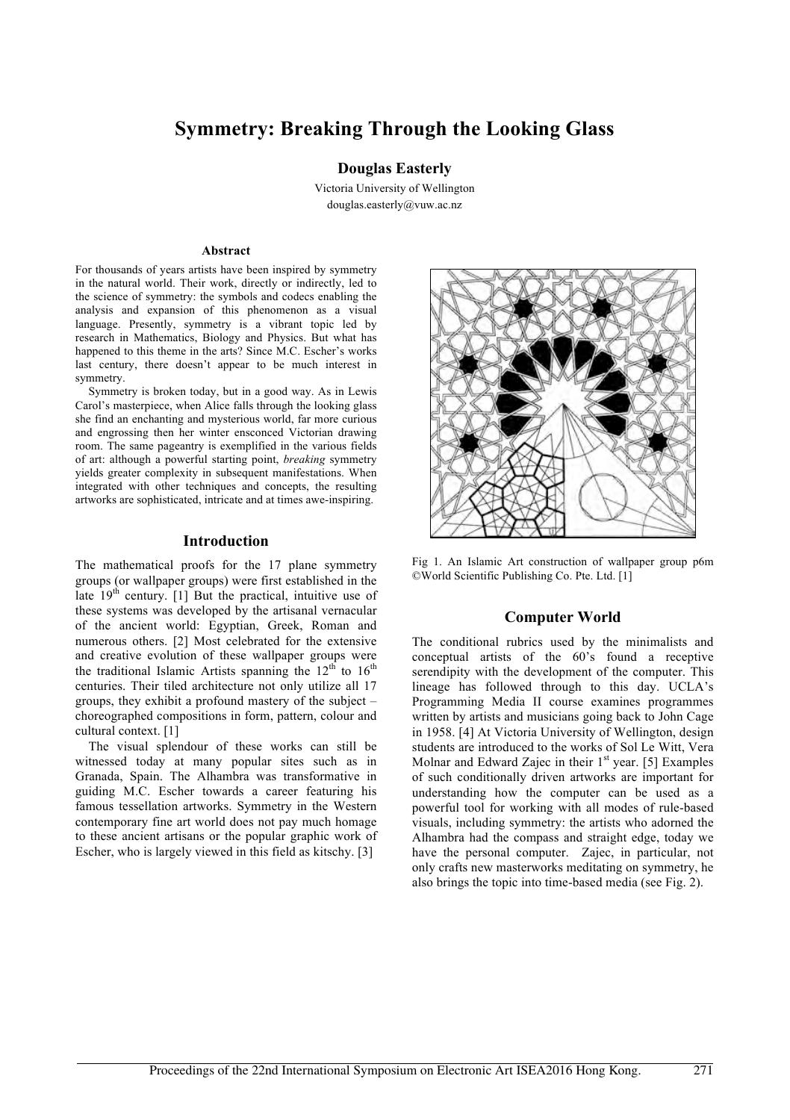# **Symmetry: Breaking Through the Looking Glass**

### **Douglas Easterly**

Victoria University of Wellington douglas.easterly@vuw.ac.nz

#### **Abstract**

For thousands of years artists have been inspired by symmetry in the natural world. Their work, directly or indirectly, led to the science of symmetry: the symbols and codecs enabling the analysis and expansion of this phenomenon as a visual language. Presently, symmetry is a vibrant topic led by research in Mathematics, Biology and Physics. But what has happened to this theme in the arts? Since M.C. Escher's works last century, there doesn't appear to be much interest in symmetry.

Symmetry is broken today, but in a good way. As in Lewis Carol's masterpiece, when Alice falls through the looking glass she find an enchanting and mysterious world, far more curious and engrossing then her winter ensconced Victorian drawing room. The same pageantry is exemplified in the various fields of art: although a powerful starting point, *breaking* symmetry yields greater complexity in subsequent manifestations. When integrated with other techniques and concepts, the resulting artworks are sophisticated, intricate and at times awe-inspiring.

#### **Introduction**

The mathematical proofs for the 17 plane symmetry groups (or wallpaper groups) were first established in the late  $19<sup>th</sup>$  century. [1] But the practical, intuitive use of these systems was developed by the artisanal vernacular of the ancient world: Egyptian, Greek, Roman and numerous others. [2] Most celebrated for the extensive and creative evolution of these wallpaper groups were the traditional Islamic Artists spanning the  $12<sup>th</sup>$  to  $16<sup>th</sup>$ centuries. Their tiled architecture not only utilize all 17 groups, they exhibit a profound mastery of the subject – choreographed compositions in form, pattern, colour and cultural context. [1]

The visual splendour of these works can still be witnessed today at many popular sites such as in Granada, Spain. The Alhambra was transformative in guiding M.C. Escher towards a career featuring his famous tessellation artworks. Symmetry in the Western contemporary fine art world does not pay much homage to these ancient artisans or the popular graphic work of Escher, who is largely viewed in this field as kitschy. [3]



Fig 1. An Islamic Art construction of wallpaper group p6m ©World Scientific Publishing Co. Pte. Ltd. [1]

### **Computer World**

The conditional rubrics used by the minimalists and conceptual artists of the 60's found a receptive serendipity with the development of the computer. This lineage has followed through to this day. UCLA's Programming Media II course examines programmes written by artists and musicians going back to John Cage in 1958. [4] At Victoria University of Wellington, design students are introduced to the works of Sol Le Witt, Vera Molnar and Edward Zajec in their 1<sup>st</sup> year. [5] Examples of such conditionally driven artworks are important for understanding how the computer can be used as a powerful tool for working with all modes of rule-based visuals, including symmetry: the artists who adorned the Alhambra had the compass and straight edge, today we have the personal computer. Zajec, in particular, not only crafts new masterworks meditating on symmetry, he also brings the topic into time-based media (see Fig. 2).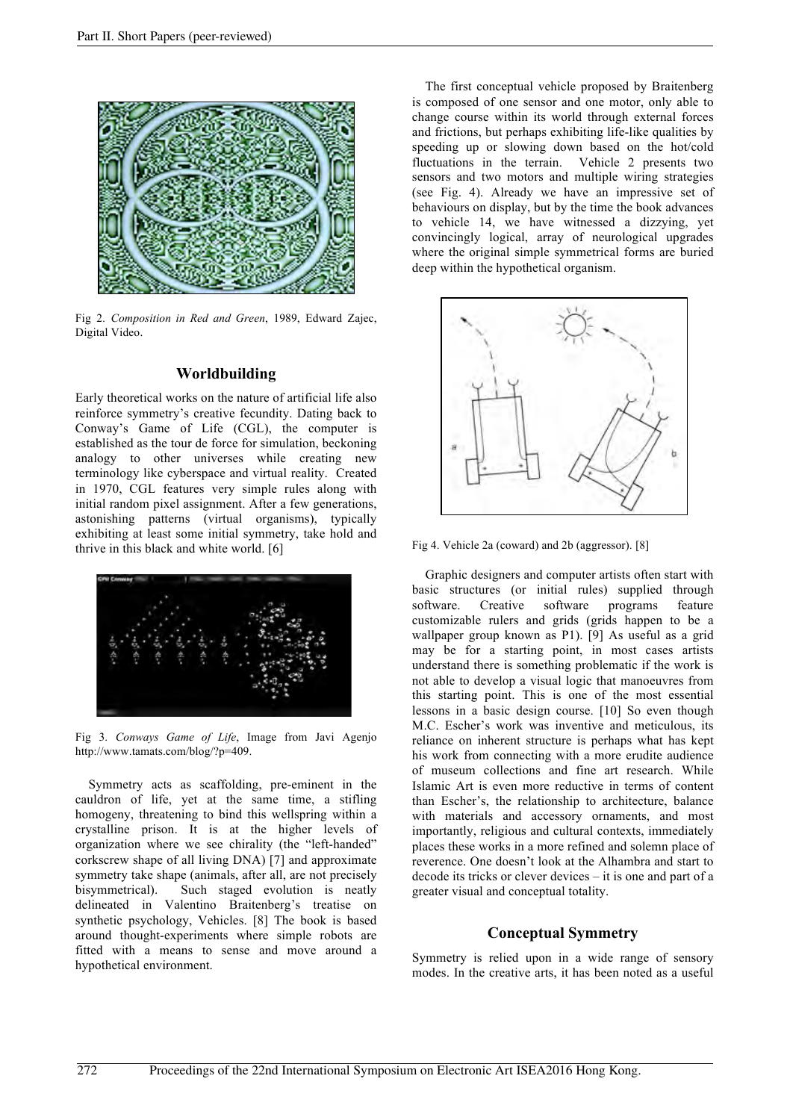

Fig 2. *Composition in Red and Green*, 1989, Edward Zajec, Digital Video.

## **Worldbuilding**

Early theoretical works on the nature of artificial life also reinforce symmetry's creative fecundity. Dating back to Conway's Game of Life (CGL), the computer is established as the tour de force for simulation, beckoning analogy to other universes while creating new terminology like cyberspace and virtual reality. Created in 1970, CGL features very simple rules along with initial random pixel assignment. After a few generations, astonishing patterns (virtual organisms), typically exhibiting at least some initial symmetry, take hold and thrive in this black and white world. [6]



Fig 3. *Conways Game of Life*, Image from Javi Agenjo http://www.tamats.com/blog/?p=409.

Symmetry acts as scaffolding, pre-eminent in the cauldron of life, yet at the same time, a stifling homogeny, threatening to bind this wellspring within a crystalline prison. It is at the higher levels of organization where we see chirality (the "left-handed" corkscrew shape of all living DNA) [7] and approximate symmetry take shape (animals, after all, are not precisely bisymmetrical). Such staged evolution is neatly delineated in Valentino Braitenberg's treatise on synthetic psychology, Vehicles. [8] The book is based around thought-experiments where simple robots are fitted with a means to sense and move around a hypothetical environment.

The first conceptual vehicle proposed by Braitenberg is composed of one sensor and one motor, only able to change course within its world through external forces and frictions, but perhaps exhibiting life-like qualities by speeding up or slowing down based on the hot/cold fluctuations in the terrain. Vehicle 2 presents two sensors and two motors and multiple wiring strategies (see Fig. 4). Already we have an impressive set of behaviours on display, but by the time the book advances to vehicle 14, we have witnessed a dizzying, yet convincingly logical, array of neurological upgrades where the original simple symmetrical forms are buried deep within the hypothetical organism.



Fig 4. Vehicle 2a (coward) and 2b (aggressor). [8]

Graphic designers and computer artists often start with basic structures (or initial rules) supplied through software. Creative software programs feature customizable rulers and grids (grids happen to be a wallpaper group known as P1). [9] As useful as a grid may be for a starting point, in most cases artists understand there is something problematic if the work is not able to develop a visual logic that manoeuvres from this starting point. This is one of the most essential lessons in a basic design course. [10] So even though M.C. Escher's work was inventive and meticulous, its reliance on inherent structure is perhaps what has kept his work from connecting with a more erudite audience of museum collections and fine art research. While Islamic Art is even more reductive in terms of content than Escher's, the relationship to architecture, balance with materials and accessory ornaments, and most importantly, religious and cultural contexts, immediately places these works in a more refined and solemn place of reverence. One doesn't look at the Alhambra and start to decode its tricks or clever devices – it is one and part of a greater visual and conceptual totality.

### **Conceptual Symmetry**

Symmetry is relied upon in a wide range of sensory modes. In the creative arts, it has been noted as a useful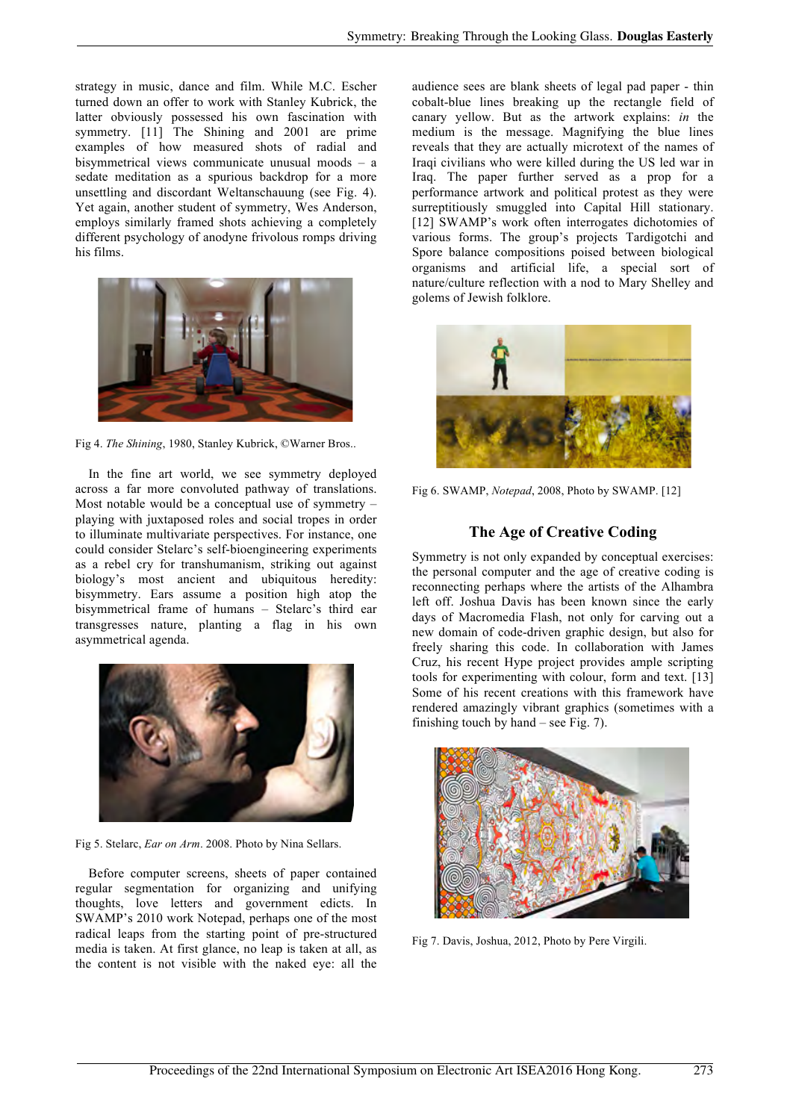strategy in music, dance and film. While M.C. Escher turned down an offer to work with Stanley Kubrick, the latter obviously possessed his own fascination with symmetry. [11] The Shining and 2001 are prime examples of how measured shots of radial and bisymmetrical views communicate unusual moods – a sedate meditation as a spurious backdrop for a more unsettling and discordant Weltanschauung (see Fig. 4). Yet again, another student of symmetry, Wes Anderson, employs similarly framed shots achieving a completely different psychology of anodyne frivolous romps driving his films.



Fig 4. *The Shining*, 1980, Stanley Kubrick, ©Warner Bros..

In the fine art world, we see symmetry deployed across a far more convoluted pathway of translations. Most notable would be a conceptual use of symmetry – playing with juxtaposed roles and social tropes in order to illuminate multivariate perspectives. For instance, one could consider Stelarc's self-bioengineering experiments as a rebel cry for transhumanism, striking out against biology's most ancient and ubiquitous heredity: bisymmetry. Ears assume a position high atop the bisymmetrical frame of humans – Stelarc's third ear transgresses nature, planting a flag in his own asymmetrical agenda.



Fig 5. Stelarc, *Ear on Arm*. 2008. Photo by Nina Sellars.

Before computer screens, sheets of paper contained regular segmentation for organizing and unifying thoughts, love letters and government edicts. In SWAMP's 2010 work Notepad, perhaps one of the most radical leaps from the starting point of pre-structured media is taken. At first glance, no leap is taken at all, as the content is not visible with the naked eye: all the audience sees are blank sheets of legal pad paper - thin cobalt-blue lines breaking up the rectangle field of canary yellow. But as the artwork explains: *in* the medium is the message. Magnifying the blue lines reveals that they are actually microtext of the names of Iraqi civilians who were killed during the US led war in Iraq. The paper further served as a prop for a performance artwork and political protest as they were surreptitiously smuggled into Capital Hill stationary. [12] SWAMP's work often interrogates dichotomies of various forms. The group's projects Tardigotchi and Spore balance compositions poised between biological organisms and artificial life, a special sort of nature/culture reflection with a nod to Mary Shelley and golems of Jewish folklore.



Fig 6. SWAMP, *Notepad*, 2008, Photo by SWAMP. [12]

### **The Age of Creative Coding**

Symmetry is not only expanded by conceptual exercises: the personal computer and the age of creative coding is reconnecting perhaps where the artists of the Alhambra left off. Joshua Davis has been known since the early days of Macromedia Flash, not only for carving out a new domain of code-driven graphic design, but also for freely sharing this code. In collaboration with James Cruz, his recent Hype project provides ample scripting tools for experimenting with colour, form and text. [13] Some of his recent creations with this framework have rendered amazingly vibrant graphics (sometimes with a finishing touch by hand – see Fig. 7).



Fig 7. Davis, Joshua, 2012, Photo by Pere Virgili.